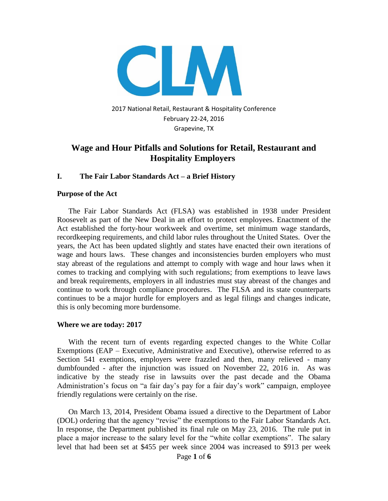

2017 National Retail, Restaurant & Hospitality Conference February 22-24, 2016 Grapevine, TX

## **[Wage and Hour Pitfalls and Solutions for Retail, Restaurant and](https://www.theclm.org/Event/GeneratedScheduleAndCourses/6430?subEventId=6829)  [Hospitality Employers](https://www.theclm.org/Event/GeneratedScheduleAndCourses/6430?subEventId=6829)**

#### **I. The Fair Labor Standards Act – a Brief History**

#### **Purpose of the Act**

The Fair Labor Standards Act (FLSA) was established in 1938 under President Roosevelt as part of the New Deal in an effort to protect employees. Enactment of the Act established the forty-hour workweek and overtime, set minimum wage standards, recordkeeping requirements, and child labor rules throughout the United States. Over the years, the Act has been updated slightly and states have enacted their own iterations of wage and hours laws. These changes and inconsistencies burden employers who must stay abreast of the regulations and attempt to comply with wage and hour laws when it comes to tracking and complying with such regulations; from exemptions to leave laws and break requirements, employers in all industries must stay abreast of the changes and continue to work through compliance procedures. The FLSA and its state counterparts continues to be a major hurdle for employers and as legal filings and changes indicate, this is only becoming more burdensome.

#### **Where we are today: 2017**

With the recent turn of events regarding expected changes to the White Collar Exemptions (EAP – Executive, Administrative and Executive), otherwise referred to as Section 541 exemptions, employers were frazzled and then, many relieved - many dumbfounded - after the injunction was issued on November 22, 2016 in. As was indicative by the steady rise in lawsuits over the past decade and the Obama Administration's focus on "a fair day's pay for a fair day's work" campaign, employee friendly regulations were certainly on the rise.

On March 13, 2014, President Obama issued a directive to the Department of Labor (DOL) ordering that the agency "revise" the exemptions to the Fair Labor Standards Act. In response, the Department published its final rule on May 23, 2016. The rule put in place a major increase to the salary level for the "white collar exemptions". The salary level that had been set at \$455 per week since 2004 was increased to \$913 per week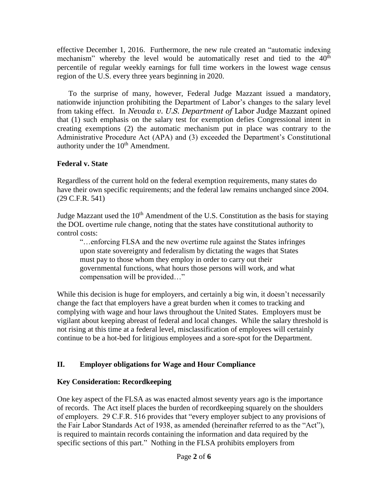effective December 1, 2016. Furthermore, the new rule created an "automatic indexing mechanism" whereby the level would be automatically reset and tied to the  $40<sup>th</sup>$ percentile of regular weekly earnings for full time workers in the lowest wage census region of the U.S. every three years beginning in 2020.

To the surprise of many, however, Federal Judge Mazzant issued a mandatory, nationwide injunction prohibiting the Department of Labor's changes to the salary level from taking effect. In *Nevada v. U.S. Department of* Labor Judge Mazzant opined that (1) such emphasis on the salary test for exemption defies Congressional intent in creating exemptions (2) the automatic mechanism put in place was contrary to the Administrative Procedure Act (APA) and (3) exceeded the Department's Constitutional authority under the  $10<sup>th</sup>$  Amendment.

### **Federal v. State**

Regardless of the current hold on the federal exemption requirements, many states do have their own specific requirements; and the federal law remains unchanged since 2004. (29 C.F.R. 541)

Judge Mazzant used the  $10<sup>th</sup>$  Amendment of the U.S. Constitution as the basis for staying the DOL overtime rule change, noting that the states have constitutional authority to control costs:

"…enforcing FLSA and the new overtime rule against the States infringes upon state sovereignty and federalism by dictating the wages that States must pay to those whom they employ in order to carry out their governmental functions, what hours those persons will work, and what compensation will be provided…"

While this decision is huge for employers, and certainly a big win, it doesn't necessarily change the fact that employers have a great burden when it comes to tracking and complying with wage and hour laws throughout the United States. Employers must be vigilant about keeping abreast of federal and local changes. While the salary threshold is not rising at this time at a federal level, misclassification of employees will certainly continue to be a hot-bed for litigious employees and a sore-spot for the Department.

## **II. Employer obligations for Wage and Hour Compliance**

## **Key Consideration: Recordkeeping**

One key aspect of the FLSA as was enacted almost seventy years ago is the importance of records. The Act itself places the burden of recordkeeping squarely on the shoulders of employers. 29 C.F.R. 516 provides that "every employer subject to any provisions of the Fair Labor Standards Act of 1938, as amended (hereinafter referred to as the "Act"), is required to maintain records containing the information and data required by the specific sections of this part." Nothing in the FLSA prohibits employers from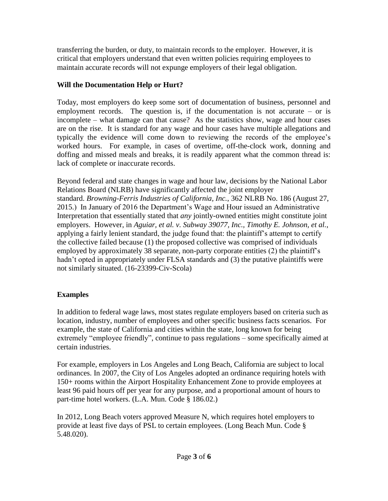transferring the burden, or duty, to maintain records to the employer. However, it is critical that employers understand that even written policies requiring employees to maintain accurate records will not expunge employers of their legal obligation.

## **Will the Documentation Help or Hurt?**

Today, most employers do keep some sort of documentation of business, personnel and employment records. The question is, if the documentation is not accurate  $-$  or is incomplete – what damage can that cause? As the statistics show, wage and hour cases are on the rise. It is standard for any wage and hour cases have multiple allegations and typically the evidence will come down to reviewing the records of the employee's worked hours. For example, in cases of overtime, off-the-clock work, donning and doffing and missed meals and breaks, it is readily apparent what the common thread is: lack of complete or inaccurate records.

Beyond federal and state changes in wage and hour law, decisions by the National Labor Relations Board (NLRB) have significantly affected the joint employer standard. *[Browning-Ferris Industries of California, Inc.](https://www.nlrb.gov/news-outreach/news-story/board-issues-decision-browning-ferris-industries)*, 362 NLRB No. 186 (August 27, [2015.](https://www.nlrb.gov/news-outreach/news-story/board-issues-decision-browning-ferris-industries)) In January of 2016 the Department's Wage and Hour issued an Administrative Interpretation that essentially stated that *any* jointly-owned entities might constitute joint employers. However, in *[Aguiar, et al. v. Subway 39077, Inc., Timothy E. Johnson, et al.](http://assets.law360news.com/0864000/864403/https-ecf-flsd-uscourts-gov-doc1-051117241352.pdf)*, applying a fairly lenient standard, the judge found that: the plaintiff's attempt to certify the collective failed because (1) the proposed collective was comprised of individuals employed by approximately 38 separate, non-party corporate entities (2) the plaintiff's hadn't opted in appropriately under FLSA standards and (3) the putative plaintiffs were not similarly situated. (16-23399-Civ-Scola)

# **Examples**

In addition to federal wage laws, most states regulate employers based on criteria such as location, industry, number of employees and other specific business facts scenarios. For example, the state of California and cities within the state, long known for being extremely "employee friendly", continue to pass regulations – some specifically aimed at certain industries.

For example, employers in Los Angeles and Long Beach, California are subject to local ordinances. In 2007, the City of Los Angeles adopted an ordinance requiring hotels with 150+ rooms within the Airport Hospitality Enhancement Zone to provide employees at least 96 paid hours off per year for any purpose, and a proportional amount of hours to part-time hotel workers. (L.A. Mun. Code § 186.02.)

In 2012, Long Beach voters approved Measure N, which requires hotel employers to provide at least five days of PSL to certain employees. (Long Beach Mun. Code § 5.48.020).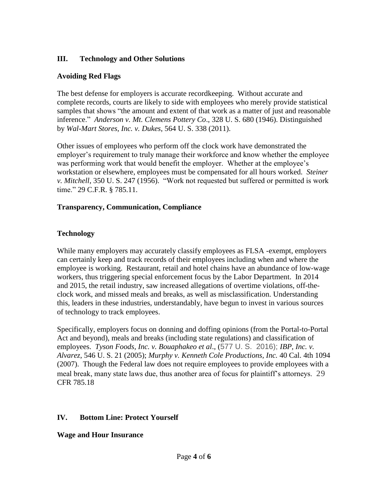### **III. Technology and Other Solutions**

### **Avoiding Red Flags**

The best defense for employers is accurate recordkeeping. Without accurate and complete records, courts are likely to side with employees who merely provide statistical samples that shows "the amount and extent of that work as a matter of just and reasonable inference." *Anderson v. Mt. Clemens Pottery Co*., 328 U. S. 680 (1946). Distinguished by *Wal-Mart Stores, Inc. v. Dukes*, 564 U. S. 338 (2011).

Other issues of employees who perform off the clock work have demonstrated the employer's requirement to truly manage their workforce and know whether the employee was performing work that would benefit the employer. Whether at the employee's workstation or elsewhere, employees must be compensated for all hours worked. *Steiner v. Mitchell*, 350 U. S. 247 (1956). "Work not requested but suffered or permitted is work time." [29 C.F.R. § 785.11.](https://www.dol.gov/cgi-bin/leave-dol.asp?exiturl=http://s.dol.gov/8L&exitTitle=www.ecfr.gov&fedpage=yes)

### **Transparency, Communication, Compliance**

## **Technology**

While many employers may accurately classify employees as FLSA -exempt, employers can certainly keep and track records of their employees including when and where the employee is working. Restaurant, retail and hotel chains have an abundance of low-wage workers, thus triggering special enforcement focus by the Labor Department. In 2014 and 2015, the retail industry, saw increased allegations of overtime violations, off-theclock work, and missed meals and breaks, as well as misclassification. Understanding this, leaders in these industries, understandably, have begun to invest in various sources of technology to track employees.

Specifically, employers focus on donning and doffing opinions (from the Portal-to-Portal Act and beyond), meals and breaks (including state regulations) and classification of employees. *Tyson Foods, Inc. v. Bouaphakeo et al*., (577 U. S. 2016); *IBP, Inc. v. Alvarez*, 546 U. S. 21 (2005); *Murphy v. Kenneth Cole Productions, Inc.* 40 Cal. 4th 1094 (2007). Though the Federal law does not require employees to provide employees with a meal break, many state laws due, thus another area of focus for plaintiff's attorneys. 29 CFR 785.18

## **IV. Bottom Line: Protect Yourself**

## **Wage and Hour Insurance**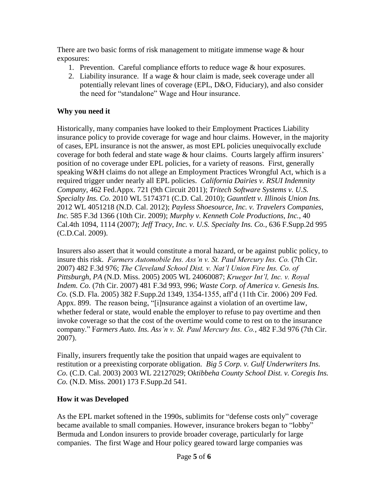There are two basic forms of risk management to mitigate immense wage & hour exposures:

- 1. Prevention. Careful compliance efforts to reduce wage & hour exposures.
- 2. Liability insurance. If a wage & hour claim is made, seek coverage under all potentially relevant lines of coverage (EPL, D&O, Fiduciary), and also consider the need for "standalone" Wage and Hour insurance.

# **Why you need it**

Historically, many companies have looked to their Employment Practices Liability insurance policy to provide coverage for wage and hour claims. However, in the majority of cases, EPL insurance is not the answer, as most EPL policies unequivocally exclude coverage for both federal and state wage & hour claims. Courts largely affirm insurers' position of no coverage under EPL policies, for a variety of reasons. First, generally speaking W&H claims do not allege an Employment Practices Wrongful Act, which is a required trigger under nearly all EPL policies. *California Dairies v. RSUI Indemnity Company*, 462 Fed.Appx. 721 (9th Circuit 2011); *Tritech Software Systems v. U.S. Specialty Ins. Co.* 2010 WL 5174371 (C.D. Cal. 2010); *Gauntlett v. Illinois Union Ins.* 2012 WL 4051218 (N.D. Cal. 2012); *Payless Shoesource, Inc. v. Travelers Companies, Inc.* 585 F.3d 1366 (10th Cir. 2009); *Murphy v. Kenneth Cole Productions, Inc.*, 40 Cal.4th 1094, 1114 (2007); *Jeff Tracy, Inc. v. U.S. Specialty Ins. Co.*, 636 F.Supp.2d 995 (C.D.Cal. 2009).

Insurers also assert that it would constitute a moral hazard, or be against public policy, to insure this risk. *Farmers Automobile Ins. Ass'n v. St. Paul Mercury Ins. Co.* (7th Cir. 2007) 482 F.3d 976; *The Cleveland School Dist. v. Nat'l Union Fire Ins. Co. of Pittsburgh, PA* (N.D. Miss. 2005) 2005 WL 24060087; *Krueger Int'l, Inc. v. Royal Indem. Co.* (7th Cir. 2007) 481 F.3d 993, 996; *Waste Corp. of America v. Genesis Ins. Co.* (S.D. Fla. 2005) 382 F.Supp.2d 1349, 1354-1355, aff'd (11th Cir. 2006) 209 Fed. Appx. 899. The reason being, "[i]nsurance against a violation of an overtime law, whether federal or state, would enable the employer to refuse to pay overtime and then invoke coverage so that the cost of the overtime would come to rest on to the insurance company." F*armers Auto. Ins. Ass'n v. St. Paul Mercury Ins. Co.*, 482 F.3d 976 (7th Cir. 2007).

Finally, insurers frequently take the position that unpaid wages are equivalent to restitution or a preexisting corporate obligation. *Big 5 Corp. v. Gulf Underwriters Ins. Co.* (C.D. Cal. 2003) 2003 WL 22127029; O*ktibbeha County School Dist. v. Coregis Ins. Co.* (N.D. Miss. 2001) 173 F.Supp.2d 541.

## **How it was Developed**

As the EPL market softened in the 1990s, sublimits for "defense costs only" coverage became available to small companies. However, insurance brokers began to "lobby" Bermuda and London insurers to provide broader coverage, particularly for large companies. The first Wage and Hour policy geared toward large companies was